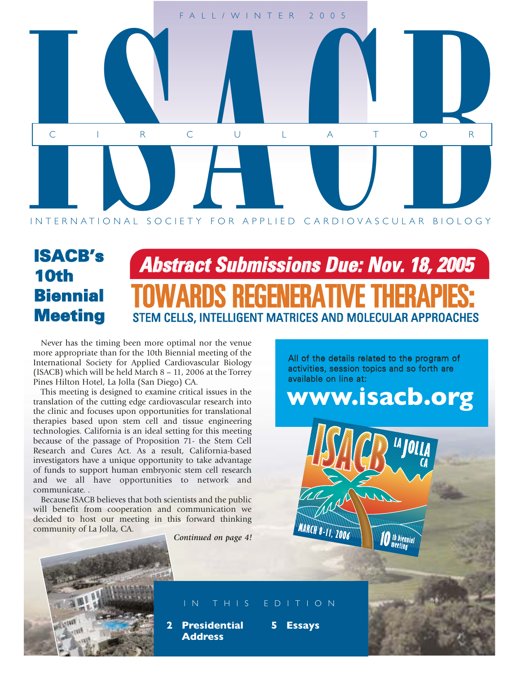

#### **ISACB's 10th Biennial Meeting** TOWARDS REGENERATIVE THERAPIES: STEM CELLS, INTELLIGENT MATRICES AND MOLECULAR APPROACHES **Abstract Submissions Due: Nov. 18, 2005**

Never has the timing been more optimal nor the venue more appropriate than for the 10th Biennial meeting of the International Society for Applied Cardiovascular Biology (ISACB) which will be held March 8 – 11, 2006 at the Torrey Pines Hilton Hotel, La Jolla (San Diego) CA.

This meeting is designed to examine critical issues in the translation of the cutting edge cardiovascular research into the clinic and focuses upon opportunities for translational therapies based upon stem cell and tissue engineering technologies. California is an ideal setting for this meeting because of the passage of Proposition 71- the Stem Cell Research and Cures Act. As a result, California-based investigators have a unique opportunity to take advantage of funds to support human embryonic stem cell research and we all have opportunities to network and communicate. .

Because ISACB believes that both scientists and the public will benefit from cooperation and communication we decided to host our meeting in this forward thinking community of La Jolla, CA.

*Continued on page 4!*





#### IN THIS EDITION

**2 Presidential Address**

**5 Essays**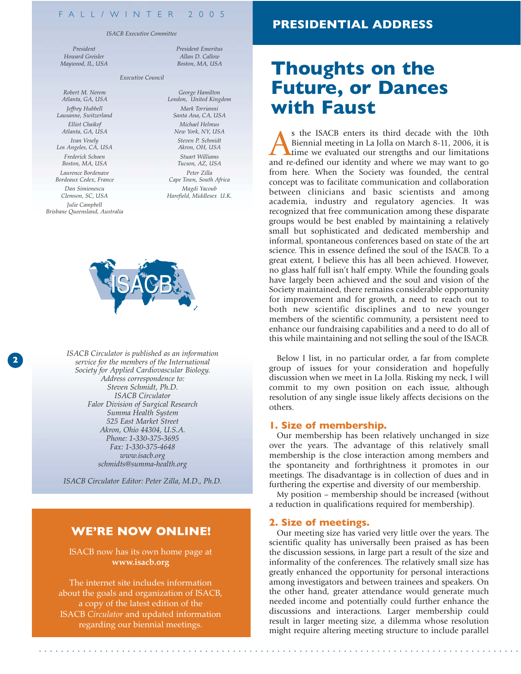#### FALL/WINTER 2005

#### *ISACB Executive Committee*

*President Howard Greisler Maywood, IL, USA*

*Robert M. Nerem Atlanta, GA, USA Jeffrey Hubbell Lausanne, Switzerland Elliot Chaikof Atlanta, GA, USA Ivan Vesely Los Angeles, CA, USA Frederick Schoen Boston, MA, USA Laurence Bordenave Bordeaux Cedex, France Dan Simionescu Clemson, SC, USA Julie Campbell Brisbane Queensland, Australia*  *President Emeritus Allan D. Callow Boston, MA, USA*

#### *Executive Council*

*George Hamilton London, United Kingdom Mark Torrianni Santa Ana, CA, USA Michael Helmus New York, NY, USA Steven P. Schmidt Akron, OH, USA Stuart Williams Tucson, AZ, USA Peter Zilla Cape Town, South Africa Magdi Yacoub Harefield, Middlesex U.K.* 



**<sup>2</sup>** *ISACB Circulator is published as an information service for the members of the International Society for Applied Cardiovascular Biology. Address correspondence to: Steven Schmidt, Ph.D. ISACB Circulator Falor Division of Surgical Research Summa Health System 525 East Market Street Akron, Ohio 44304, U.S.A. Phone: 1-330-375-3695 Fax: 1-330-375-4648 www.isacb.org schmidts@summa-health.org*

*ISACB Circulator Editor: Peter Zilla, M.D., Ph.D.*

## **WE'RE NOW ONLINE!**

ISACB now has its own home page at **www.isacb.org**

The internet site includes information about the goals and organization of ISACB, a copy of the latest edition of the ISACB *Circulator* and updated information regarding our biennial meetings.

## **PRESIDENTIAL ADDRESS**

# **Thoughts on the Future, or Dances with Faust**

s the ISACB enters its third decade with the 10th Biennial meeting in La Jolla on March 8-11, 2006, it is time we evaluated our strengths and our limitations and re-defined our identity and where we may want to go from here. When the Society was founded, the central concept was to facilitate communication and collaboration between clinicians and basic scientists and among academia, industry and regulatory agencies. It was recognized that free communication among these disparate groups would be best enabled by maintaining a relatively small but sophisticated and dedicated membership and informal, spontaneous conferences based on state of the art science. This in essence defined the soul of the ISACB. To a great extent, I believe this has all been achieved. However, no glass half full isn't half empty. While the founding goals have largely been achieved and the soul and vision of the Society maintained, there remains considerable opportunity for improvement and for growth, a need to reach out to both new scientific disciplines and to new younger members of the scientific community, a persistent need to enhance our fundraising capabilities and a need to do all of this while maintaining and not selling the soul of the ISACB.

Below I list, in no particular order, a far from complete group of issues for your consideration and hopefully discussion when we meet in La Jolla. Risking my neck, I will commit to my own position on each issue, although resolution of any single issue likely affects decisions on the others.

#### **1. Size of membership.**

Our membership has been relatively unchanged in size over the years. The advantage of this relatively small membership is the close interaction among members and the spontaneity and forthrightness it promotes in our meetings. The disadvantage is in collection of dues and in furthering the expertise and diversity of our membership.

My position – membership should be increased (without a reduction in qualifications required for membership).

#### **2. Size of meetings.**

. . . . . . . . . . . . . . . . . . . . . . . . . . . . . . . . . . . . . . . . . . . . . . . . . . . . . . . . . . . . . . . . . . . . . . . . . . . . . . . . . . . . . . .

Our meeting size has varied very little over the years. The scientific quality has universally been praised as has been the discussion sessions, in large part a result of the size and informality of the conferences. The relatively small size has greatly enhanced the opportunity for personal interactions among investigators and between trainees and speakers. On the other hand, greater attendance would generate much needed income and potentially could further enhance the discussions and interactions. Larger membership could result in larger meeting size, a dilemma whose resolution might require altering meeting structure to include parallel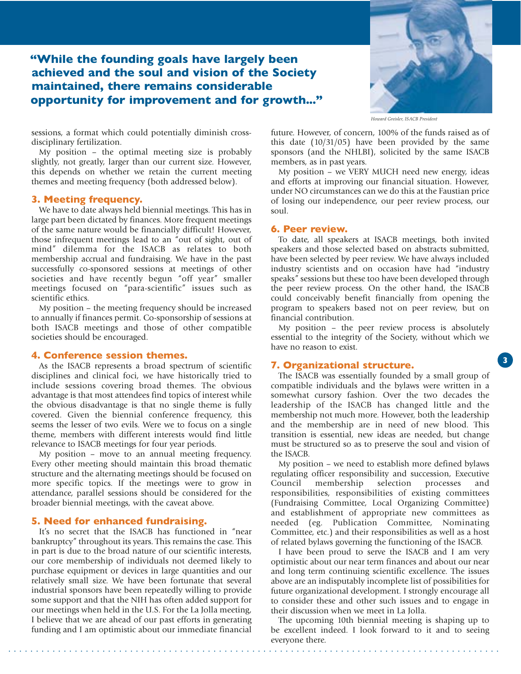## **"While the founding goals have largely been achieved and the soul and vision of the Society maintained, there remains considerable opportunity for improvement and for growth..."**



*Howard Greisler, ISACB President*

sessions, a format which could potentially diminish crossdisciplinary fertilization.

My position – the optimal meeting size is probably slightly, not greatly, larger than our current size. However, this depends on whether we retain the current meeting themes and meeting frequency (both addressed below).

#### **3. Meeting frequency.**

We have to date always held biennial meetings. This has in large part been dictated by finances. More frequent meetings of the same nature would be financially difficult! However, those infrequent meetings lead to an "out of sight, out of mind" dilemma for the ISACB as relates to both membership accrual and fundraising. We have in the past successfully co-sponsored sessions at meetings of other societies and have recently begun "off year" smaller meetings focused on "para-scientific" issues such as scientific ethics.

My position – the meeting frequency should be increased to annually if finances permit. Co-sponsorship of sessions at both ISACB meetings and those of other compatible societies should be encouraged.

#### **4. Conference session themes.**

As the ISACB represents a broad spectrum of scientific disciplines and clinical foci, we have historically tried to include sessions covering broad themes. The obvious advantage is that most attendees find topics of interest while the obvious disadvantage is that no single theme is fully covered. Given the biennial conference frequency, this seems the lesser of two evils. Were we to focus on a single theme, members with different interests would find little relevance to ISACB meetings for four year periods.

My position – move to an annual meeting frequency. Every other meeting should maintain this broad thematic structure and the alternating meetings should be focused on more specific topics. If the meetings were to grow in attendance, parallel sessions should be considered for the broader biennial meetings, with the caveat above.

#### **5. Need for enhanced fundraising.**

It's no secret that the ISACB has functioned in "near bankruptcy" throughout its years. This remains the case. This in part is due to the broad nature of our scientific interests, our core membership of individuals not deemed likely to purchase equipment or devices in large quantities and our relatively small size. We have been fortunate that several industrial sponsors have been repeatedly willing to provide some support and that the NIH has often added support for our meetings when held in the U.S. For the La Jolla meeting, I believe that we are ahead of our past efforts in generating funding and I am optimistic about our immediate financial future. However, of concern, 100% of the funds raised as of this date (10/31/05) have been provided by the same sponsors (and the NHLBI), solicited by the same ISACB members, as in past years.

My position – we VERY MUCH need new energy, ideas and efforts at improving our financial situation. However, under NO circumstances can we do this at the Faustian price of losing our independence, our peer review process, our soul.

#### **6. Peer review.**

To date, all speakers at ISACB meetings, both invited speakers and those selected based on abstracts submitted, have been selected by peer review. We have always included industry scientists and on occasion have had "industry speaks" sessions but these too have been developed through the peer review process. On the other hand, the ISACB could conceivably benefit financially from opening the program to speakers based not on peer review, but on financial contribution.

My position – the peer review process is absolutely essential to the integrity of the Society, without which we have no reason to exist.

**3**

#### **7. Organizational structure.**

The ISACB was essentially founded by a small group of compatible individuals and the bylaws were written in a somewhat cursory fashion. Over the two decades the leadership of the ISACB has changed little and the membership not much more. However, both the leadership and the membership are in need of new blood. This transition is essential, new ideas are needed, but change must be structured so as to preserve the soul and vision of the ISACB.

My position – we need to establish more defined bylaws regulating officer responsibility and succession, Executive Council membership selection processes and responsibilities, responsibilities of existing committees (Fundraising Committee, Local Organizing Committee) and establishment of appropriate new committees as needed (eg. Publication Committee, Nominating Committee, etc.) and their responsibilities as well as a host of related bylaws governing the functioning of the ISACB.

I have been proud to serve the ISACB and I am very optimistic about our near term finances and about our near and long term continuing scientific excellence. The issues above are an indisputably incomplete list of possibilities for future organizational development. I strongly encourage all to consider these and other such issues and to engage in their discussion when we meet in La Jolla.

The upcoming 10th biennial meeting is shaping up to be excellent indeed. I look forward to it and to seeing everyone there.

. . . . . . . . . . . . . . . . . . . . . . . . . . . . . . . . . . . . . . . . . . . . . . . . . . . . . . . . . . . . . . . . . . . . . . . . . . . . . . . . . . . . . . . . .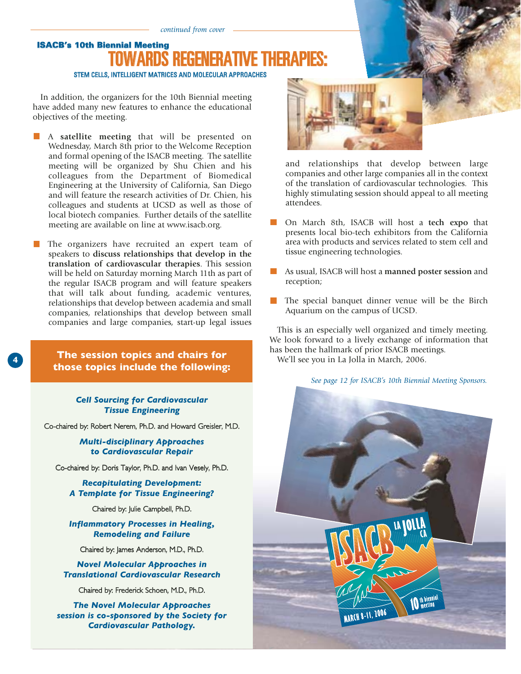## **ISACB's 10th Biennial Meeting** EGENERATIVE THERAPIES: STEM CELLS, INTELLIGENT MATRICES AND MOLECULAR APPROACHES

In addition, the organizers for the 10th Biennial meeting have added many new features to enhance the educational objectives of the meeting.

- A **satellite meeting** that will be presented on Wednesday, March 8th prior to the Welcome Reception and formal opening of the ISACB meeting. The satellite meeting will be organized by Shu Chien and his colleagues from the Department of Biomedical Engineering at the University of California, San Diego and will feature the research activities of Dr. Chien, his colleagues and students at UCSD as well as those of local biotech companies. Further details of the satellite meeting are available on line at www.isacb.org.
- The organizers have recruited an expert team of speakers to **discuss relationships that develop in the translation of cardiovascular therapies**. This session will be held on Saturday morning March 11th as part of the regular ISACB program and will feature speakers that will talk about funding, academic ventures, relationships that develop between academia and small companies, relationships that develop between small companies and large companies, start-up legal issues

#### **The session topics and chairs for those topics include the following:**

**4**

#### *Cell Sourcing for Cardiovascular Tissue Engineering*

Co-chaired by: Robert Nerem, Ph.D. and Howard Greisler, M.D.

*Multi-disciplinary Approaches to Cardiovascular Repair*

Co-chaired by: Doris Taylor, Ph.D. and Ivan Vesely, Ph.D.

*Recapitulating Development: A Template for Tissue Engineering?*

Chaired by: Julie Campbell, Ph.D.

*Inflammatory Processes in Healing, Remodeling and Failure*

Chaired by: James Anderson, M.D., Ph.D.

*Novel Molecular Approaches in Translational Cardiovascular Research*

Chaired by: Frederick Schoen, M.D., Ph.D.

*The Novel Molecular Approaches session is co-sponsored by the Society for Cardiovascular Pathology.*



and relationships that develop between large companies and other large companies all in the context of the translation of cardiovascular technologies. This highly stimulating session should appeal to all meeting attendees.

- On March 8th, ISACB will host a **tech expo** that presents local bio-tech exhibitors from the California area with products and services related to stem cell and tissue engineering technologies.
- As usual, ISACB will host a **manned poster session** and reception;
- $\blacksquare$  The special banquet dinner venue will be the Birch Aquarium on the campus of UCSD.

This is an especially well organized and timely meeting. We look forward to a lively exchange of information that has been the hallmark of prior ISACB meetings. We'll see you in La Jolla in March, 2006.

*See page 12 for ISACB's 10th Biennial Meeting Sponsors.*

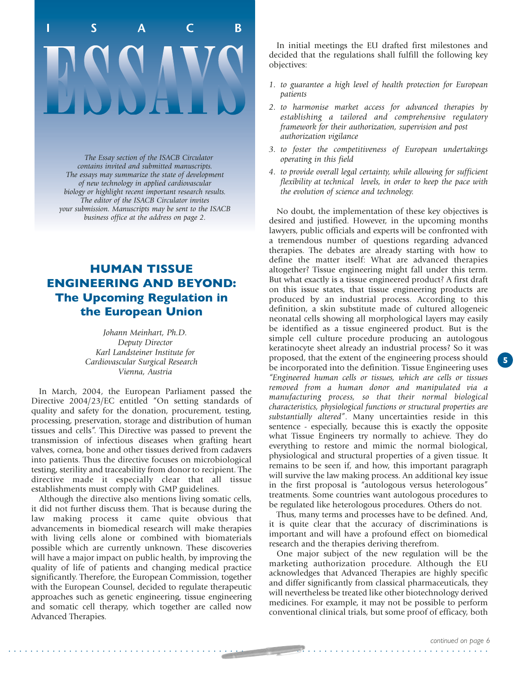# S B A C

*The Essay section of the ISACB Circulator contains invited and submitted manuscripts. The essays may summarize the state of development of new technology in applied cardiovascular biology or highlight recent important research results. The editor of the ISACB Circulator invites your submission. Manuscripts may be sent to the ISACB business office at the address on page 2.*

# **HUMAN TISSUE ENGINEERING AND BEYOND: The Upcoming Regulation in the European Union**

*Johann Meinhart, Ph.D. Deputy Director Karl Landsteiner Institute for Cardiovascular Surgical Research Vienna, Austria*

In March, 2004, the European Parliament passed the Directive 2004/23/EC entitled "On setting standards of quality and safety for the donation, procurement, testing, processing, preservation, storage and distribution of human tissues and cells". This Directive was passed to prevent the transmission of infectious diseases when grafting heart valves, cornea, bone and other tissues derived from cadavers into patients. Thus the directive focuses on microbiological testing, sterility and traceability from donor to recipient. The directive made it especially clear that all tissue establishments must comply with GMP guidelines.

Although the directive also mentions living somatic cells, it did not further discuss them. That is because during the law making process it came quite obvious that advancements in biomedical research will make therapies with living cells alone or combined with biomaterials possible which are currently unknown. These discoveries will have a major impact on public health, by improving the quality of life of patients and changing medical practice significantly. Therefore, the European Commission, together with the European Counsel, decided to regulate therapeutic approaches such as genetic engineering, tissue engineering and somatic cell therapy, which together are called now Advanced Therapies.

decided that the regulations shall fulfill the following key objectives:

- *1. to guarantee a high level of health protection for European patients*
- *2. to harmonise market access for advanced therapies by establishing a tailored and comprehensive regulatory framework for their authorization, supervision and post authorization vigilance*
- *3. to foster the competitiveness of European undertakings operating in this field*
- *4. to provide overall legal certainty, while allowing for sufficient flexibility at technical levels, in order to keep the pace with the evolution of science and technology.*

In initial meetings the EU drafted first milestones and<br>cicled that the regulations shall fulfill the following key<br>bjectives:<br>to guarantee a high level of health protection for European<br>patients<br>to harmonise market access No doubt, the implementation of these key objectives is desired and justified. However, in the upcoming months lawyers, public officials and experts will be confronted with a tremendous number of questions regarding advanced therapies. The debates are already starting with how to define the matter itself: What are advanced therapies altogether? Tissue engineering might fall under this term. But what exactly is a tissue engineered product? A first draft on this issue states, that tissue engineering products are produced by an industrial process. According to this definition, a skin substitute made of cultured allogeneic neonatal cells showing all morphological layers may easily be identified as a tissue engineered product. But is the simple cell culture procedure producing an autologous keratinocyte sheet already an industrial process? So it was proposed, that the extent of the engineering process should be incorporated into the definition. Tissue Engineering uses *"Engineered human cells or tissues, which are cells or tissues removed from a human donor and manipulated via a manufacturing process, so that their normal biological characteristics, physiological functions or structural properties are substantially altered"*. Many uncertainties reside in this sentence - especially, because this is exactly the opposite what Tissue Engineers try normally to achieve. They do everything to restore and mimic the normal biological, physiological and structural properties of a given tissue. It remains to be seen if, and how, this important paragraph will survive the law making process. An additional key issue in the first proposal is "autologous versus heterologous" treatments. Some countries want autologous procedures to be regulated like heterologous procedures. Others do not.

Thus, many terms and processes have to be defined. And, it is quite clear that the accuracy of discriminations is important and will have a profound effect on biomedical research and the therapies deriving therefrom.

One major subject of the new regulation will be the marketing authorization procedure. Although the EU acknowledges that Advanced Therapies are highly specific and differ significantly from classical pharmaceuticals, they will nevertheless be treated like other biotechnology derived medicines. For example, it may not be possible to perform conventional clinical trials, but some proof of efficacy, both

. . . . . . . . . . . . . . . . . . . . . . . . . . . . . . . . . . . . . . . . . . . . . . . . . . . . . . . . . . . . . . . . . . . . . . . . . . . . . . . . . . . . . . .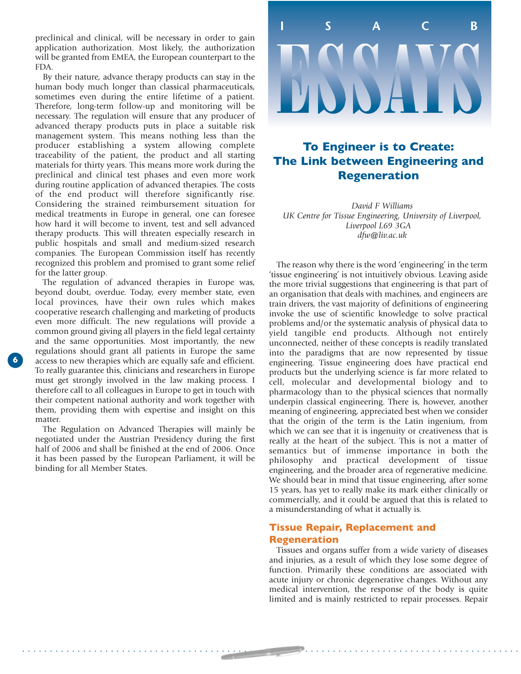preclinical and clinical, will be necessary in order to gain application authorization. Most likely, the authorization will be granted from EMEA, the European counterpart to the FDA.

By their nature, advance therapy products can stay in the human body much longer than classical pharmaceuticals, sometimes even during the entire lifetime of a patient. Therefore, long-term follow-up and monitoring will be necessary. The regulation will ensure that any producer of advanced therapy products puts in place a suitable risk management system. This means nothing less than the producer establishing a system allowing complete traceability of the patient, the product and all starting materials for thirty years. This means more work during the preclinical and clinical test phases and even more work during routine application of advanced therapies. The costs of the end product will therefore significantly rise. Considering the strained reimbursement situation for medical treatments in Europe in general, one can foresee how hard it will become to invent, test and sell advanced therapy products. This will threaten especially research in public hospitals and small and medium-sized research companies. The European Commission itself has recently recognized this problem and promised to grant some relief for the latter group.

The regulation of advanced therapies in Europe was, beyond doubt, overdue. Today, every member state, even local provinces, have their own rules which makes cooperative research challenging and marketing of products even more difficult. The new regulations will provide a common ground giving all players in the field legal certainty and the same opportunities. Most importantly, the new regulations should grant all patients in Europe the same access to new therapies which are equally safe and efficient. To really guarantee this, clinicians and researchers in Europe must get strongly involved in the law making process. I therefore call to all colleagues in Europe to get in touch with their competent national authority and work together with them, providing them with expertise and insight on this matter.

**2**

**6**

The Regulation on Advanced Therapies will mainly be negotiated under the Austrian Presidency during the first half of 2006 and shall be finished at the end of 2006. Once it has been passed by the European Parliament, it will be binding for all Member States.



# **To Engineer is to Create: The Link between Engineering and Regeneration**

*David F Williams UK Centre for Tissue Engineering, University of Liverpool, Liverpool L69 3GA dfw@liv.ac.uk*

The reason why there is the word 'engineering' in the term 'tissue engineering' is not intuitively obvious. Leaving aside the more trivial suggestions that engineering is that part of an organisation that deals with machines, and engineers are train drivers, the vast majority of definitions of engineering invoke the use of scientific knowledge to solve practical problems and/or the systematic analysis of physical data to yield tangible end products. Although not entirely unconnected, neither of these concepts is readily translated into the paradigms that are now represented by tissue engineering. Tissue engineering does have practical end products but the underlying science is far more related to cell, molecular and developmental biology and to pharmacology than to the physical sciences that normally underpin classical engineering. There is, however, another meaning of engineering, appreciated best when we consider that the origin of the term is the Latin ingenium, from which we can see that it is ingenuity or creativeness that is really at the heart of the subject. This is not a matter of semantics but of immense importance in both the philosophy and practical development of tissue engineering, and the broader area of regenerative medicine. We should bear in mind that tissue engineering, after some 15 years, has yet to really make its mark either clinically or commercially, and it could be argued that this is related to a misunderstanding of what it actually is.

#### **Tissue Repair, Replacement and Regeneration**

. . . . . . . . . . . . . . . . . . . . . . . . . . . . . . . . . . . . . . . . . . . . . . . . . . . . . . . . . . . . . . . . . . . . . . . . . . . . . . . . . . . . . . . . . .

Tissues and organs suffer from a wide variety of diseases and injuries, as a result of which they lose some degree of function. Primarily these conditions are associated with acute injury or chronic degenerative changes. Without any medical intervention, the response of the body is quite limited and is mainly restricted to repair processes. Repair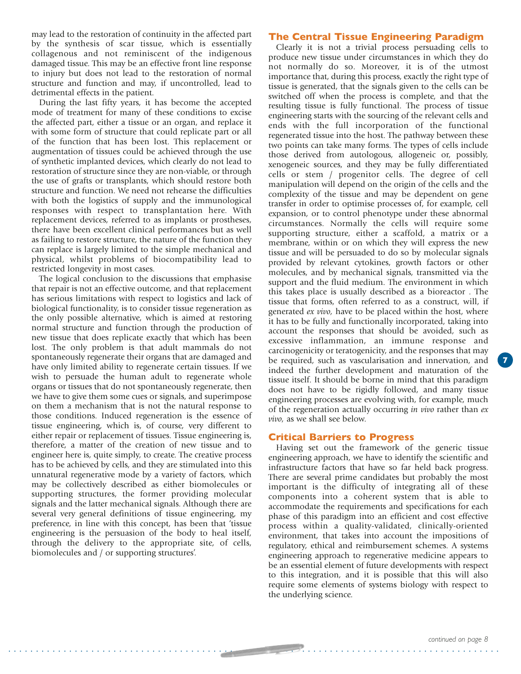may lead to the restoration of continuity in the affected part by the synthesis of scar tissue, which is essentially collagenous and not reminiscent of the indigenous damaged tissue. This may be an effective front line response to injury but does not lead to the restoration of normal structure and function and may, if uncontrolled, lead to detrimental effects in the patient.

During the last fifty years, it has become the accepted mode of treatment for many of these conditions to excise the affected part, either a tissue or an organ, and replace it with some form of structure that could replicate part or all of the function that has been lost. This replacement or augmentation of tissues could be achieved through the use of synthetic implanted devices, which clearly do not lead to restoration of structure since they are non-viable, or through the use of grafts or transplants, which should restore both structure and function. We need not rehearse the difficulties with both the logistics of supply and the immunological responses with respect to transplantation here. With replacement devices, referred to as implants or prostheses, there have been excellent clinical performances but as well as failing to restore structure, the nature of the function they can replace is largely limited to the simple mechanical and physical, whilst problems of biocompatibility lead to restricted longevity in most cases.

The logical conclusion to the discussions that emphasise that repair is not an effective outcome, and that replacement has serious limitations with respect to logistics and lack of biological functionality, is to consider tissue regeneration as the only possible alternative, which is aimed at restoring normal structure and function through the production of new tissue that does replicate exactly that which has been lost. The only problem is that adult mammals do not spontaneously regenerate their organs that are damaged and have only limited ability to regenerate certain tissues. If we wish to persuade the human adult to regenerate whole organs or tissues that do not spontaneously regenerate, then we have to give them some cues or signals, and superimpose on them a mechanism that is not the natural response to those conditions. Induced regeneration is the essence of tissue engineering, which is, of course, very different to either repair or replacement of tissues. Tissue engineering is, therefore, a matter of the creation of new tissue and to engineer here is, quite simply, to create. The creative process has to be achieved by cells, and they are stimulated into this unnatural regenerative mode by a variety of factors, which may be collectively described as either biomolecules or supporting structures, the former providing molecular signals and the latter mechanical signals. Although there are several very general definitions of tissue engineering, my preference, in line with this concept, has been that 'tissue engineering is the persuasion of the body to heal itself, through the delivery to the appropriate site, of cells, biomolecules and / or supporting structures'.

#### **The Central Tissue Engineering Paradigm**

Clearly it is not a trivial process persuading cells to produce new tissue under circumstances in which they do not normally do so. Moreover, it is of the utmost importance that, during this process, exactly the right type of tissue is generated, that the signals given to the cells can be switched off when the process is complete, and that the resulting tissue is fully functional. The process of tissue engineering starts with the sourcing of the relevant cells and ends with the full incorporation of the functional regenerated tissue into the host. The pathway between these two points can take many forms. The types of cells include those derived from autologous, allogeneic or, possibly, xenogeneic sources, and they may be fully differentiated cells or stem / progenitor cells. The degree of cell manipulation will depend on the origin of the cells and the complexity of the tissue and may be dependent on gene transfer in order to optimise processes of, for example, cell expansion, or to control phenotype under these abnormal circumstances. Normally the cells will require some supporting structure, either a scaffold, a matrix or a membrane, within or on which they will express the new tissue and will be persuaded to do so by molecular signals provided by relevant cytokines, growth factors or other molecules, and by mechanical signals, transmitted via the support and the fluid medium. The environment in which this takes place is usually described as a bioreactor . The tissue that forms, often referred to as a construct, will, if generated *ex vivo,* have to be placed within the host, where it has to be fully and functionally incorporated, taking into account the responses that should be avoided, such as excessive inflammation, an immune response and carcinogenicity or teratogenicity, and the responses that may be required, such as vascularisation and innervation, and indeed the further development and maturation of the tissue itself. It should be borne in mind that this paradigm does not have to be rigidly followed, and many tissue engineering processes are evolving with, for example, much of the regeneration actually occurring *in vivo* rather than *ex vivo,* as we shall see below.

#### **Critical Barriers to Progress**

. . . . . . . . . . . . . . . . . . . . . . . . . . . . . . . . . . . . . . . . . . . . . . . . . . . . . . . . . . . . . . . . . . . . . . . . . . . . . . . . . . . . . . . . .

Having set out the framework of the generic tissue engineering approach, we have to identify the scientific and infrastructure factors that have so far held back progress. There are several prime candidates but probably the most important is the difficulty of integrating all of these components into a coherent system that is able to accommodate the requirements and specifications for each phase of this paradigm into an efficient and cost effective process within a quality-validated, clinically-oriented environment, that takes into account the impositions of regulatory, ethical and reimbursement schemes. A systems engineering approach to regenerative medicine appears to be an essential element of future developments with respect to this integration, and it is possible that this will also require some elements of systems biology with respect to the underlying science.

**7**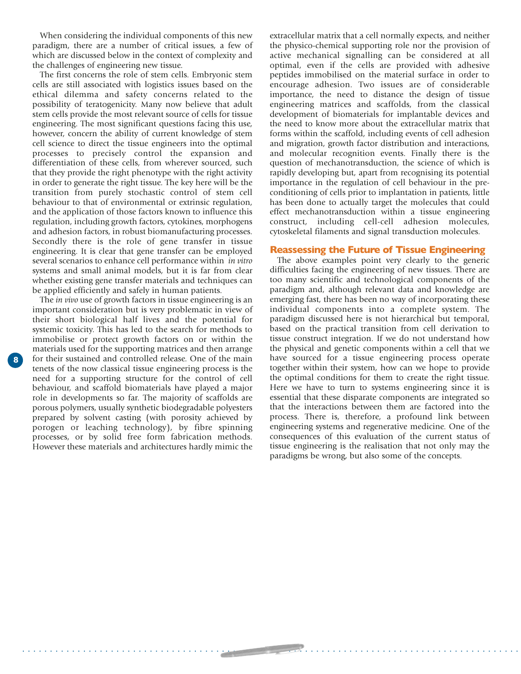When considering the individual components of this new paradigm, there are a number of critical issues, a few of which are discussed below in the context of complexity and the challenges of engineering new tissue.

The first concerns the role of stem cells. Embryonic stem cells are still associated with logistics issues based on the ethical dilemma and safety concerns related to the possibility of teratogenicity. Many now believe that adult stem cells provide the most relevant source of cells for tissue engineering. The most significant questions facing this use, however, concern the ability of current knowledge of stem cell science to direct the tissue engineers into the optimal processes to precisely control the expansion and differentiation of these cells, from wherever sourced, such that they provide the right phenotype with the right activity in order to generate the right tissue. The key here will be the transition from purely stochastic control of stem cell behaviour to that of environmental or extrinsic regulation, and the application of those factors known to influence this regulation, including growth factors, cytokines, morphogens and adhesion factors, in robust biomanufacturing processes. Secondly there is the role of gene transfer in tissue engineering. It is clear that gene transfer can be employed several scenarios to enhance cell performance within *in vitro* systems and small animal models, but it is far from clear whether existing gene transfer materials and techniques can be applied efficiently and safely in human patients.

The *in vivo* use of growth factors in tissue engineering is an important consideration but is very problematic in view of their short biological half lives and the potential for systemic toxicity. This has led to the search for methods to immobilise or protect growth factors on or within the materials used for the supporting matrices and then arrange for their sustained and controlled release. One of the main tenets of the now classical tissue engineering process is the need for a supporting structure for the control of cell behaviour, and scaffold biomaterials have played a major role in developments so far. The majority of scaffolds are porous polymers, usually synthetic biodegradable polyesters prepared by solvent casting (with porosity achieved by porogen or leaching technology), by fibre spinning processes, or by solid free form fabrication methods. However these materials and architectures hardly mimic the

**8**

. . . . . . . . . . . . . . . . . . . . . . . . . . . . . . . . . . . . . . . . . . . . . . . . . . . . . . . . . . . . . . . . . . . . . . . . . . . . . . . . . . . . . . . . . .

extracellular matrix that a cell normally expects, and neither the physico-chemical supporting role nor the provision of active mechanical signalling can be considered at all optimal, even if the cells are provided with adhesive peptides immobilised on the material surface in order to encourage adhesion. Two issues are of considerable importance, the need to distance the design of tissue engineering matrices and scaffolds, from the classical development of biomaterials for implantable devices and the need to know more about the extracellular matrix that forms within the scaffold, including events of cell adhesion and migration, growth factor distribution and interactions, and molecular recognition events. Finally there is the question of mechanotransduction, the science of which is rapidly developing but, apart from recognising its potential importance in the regulation of cell behaviour in the preconditioning of cells prior to implantation in patients, little has been done to actually target the molecules that could effect mechanotransduction within a tissue engineering construct, including cell-cell adhesion molecules, cytoskeletal filaments and signal transduction molecules.

#### **Reassessing the Future of Tissue Engineering**

The above examples point very clearly to the generic difficulties facing the engineering of new tissues. There are too many scientific and technological components of the paradigm and, although relevant data and knowledge are emerging fast, there has been no way of incorporating these individual components into a complete system. The paradigm discussed here is not hierarchical but temporal, based on the practical transition from cell derivation to tissue construct integration. If we do not understand how the physical and genetic components within a cell that we have sourced for a tissue engineering process operate together within their system, how can we hope to provide the optimal conditions for them to create the right tissue. Here we have to turn to systems engineering since it is essential that these disparate components are integrated so that the interactions between them are factored into the process. There is, therefore, a profound link between engineering systems and regenerative medicine. One of the consequences of this evaluation of the current status of tissue engineering is the realisation that not only may the paradigms be wrong, but also some of the concepts.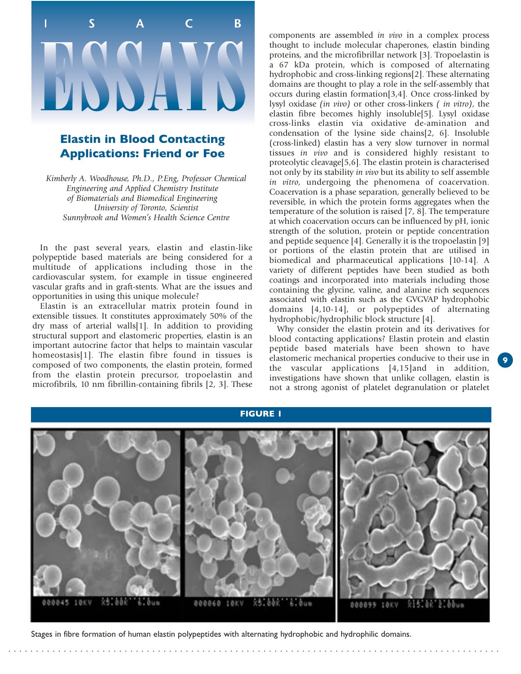# B Π **PIDDA**

# **Elastin in Blood Contacting Applications: Friend or Foe**

*Kimberly A. Woodhouse, Ph.D., P.Eng, Professor Chemical Engineering and Applied Chemistry Institute of Biomaterials and Biomedical Engineering University of Toronto, Scientist Sunnybrook and Women's Health Science Centre*

In the past several years, elastin and elastin-like polypeptide based materials are being considered for a multitude of applications including those in the cardiovascular system, for example in tissue engineered vascular grafts and in graft-stents. What are the issues and opportunities in using this unique molecule?

Elastin is an extracellular matrix protein found in extensible tissues. It constitutes approximately 50% of the dry mass of arterial walls[1]. In addition to providing structural support and elastomeric properties, elastin is an important autocrine factor that helps to maintain vascular homeostasis[1]. The elastin fibre found in tissues is composed of two components, the elastin protein, formed from the elastin protein precursor, tropoelastin and microfibrils, 10 nm fibrillin-containing fibrils [2, 3]. These

components are assembled *in vivo* in a complex process thought to include molecular chaperones, elastin binding proteins, and the microfibrillar network [3]. Tropoelastin is a 67 kDa protein, which is composed of alternating hydrophobic and cross-linking regions[2]. These alternating domains are thought to play a role in the self-assembly that occurs during elastin formation[3,4]. Once cross-linked by lysyl oxidase *(in vivo)* or other cross-linkers *( in vitro)*, the elastin fibre becomes highly insoluble[5]. Lysyl oxidase cross-links elastin via oxidative de-amination and condensation of the lysine side chains[2, 6]. Insoluble (cross-linked) elastin has a very slow turnover in normal tissues *in vivo* and is considered highly resistant to proteolytic cleavage[5,6]. The elastin protein is characterised not only by its stability *in vivo* but its ability to self assemble *in vitro,* undergoing the phenomena of coacervation. Coacervation is a phase separation, generally believed to be reversible, in which the protein forms aggregates when the temperature of the solution is raised [7, 8]. The temperature at which coacervation occurs can be influenced by pH, ionic strength of the solution, protein or peptide concentration and peptide sequence [4]. Generally it is the tropoelastin [9] or portions of the elastin protein that are utilised in biomedical and pharmaceutical applications [10-14]. A variety of different peptides have been studied as both coatings and incorporated into materials including those containing the glycine, valine, and alanine rich sequences associated with elastin such as the GVGVAP hydrophobic domains [4,10-14], or polypeptides of alternating hydrophobic/hydrophilic block structure [4].

Why consider the elastin protein and its derivatives for blood contacting applications? Elastin protein and elastin peptide based materials have been shown to have elastomeric mechanical properties conducive to their use in the vascular applications [4,15]and in addition, investigations have shown that unlike collagen, elastin is not a strong agonist of platelet degranulation or platelet

**9**



. . . . . . . . . . . . . . . . . . . . . . . . . . . . . . . . . . . . . . . . . . . . . . . . . . . . . . . . . . . . . . . . . . . . . . . . . . . . . . . . . . . . . . . . .

Stages in fibre formation of human elastin polypeptides with alternating hydrophobic and hydrophilic domains.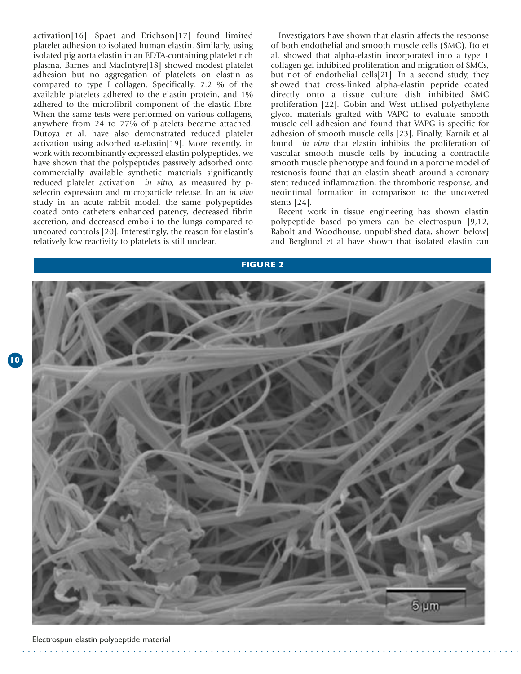activation[16]. Spaet and Erichson[17] found limited platelet adhesion to isolated human elastin. Similarly, using isolated pig aorta elastin in an EDTA-containing platelet rich plasma, Barnes and MacIntyre[18] showed modest platelet adhesion but no aggregation of platelets on elastin as compared to type I collagen. Specifically, 7.2 % of the available platelets adhered to the elastin protein, and 1% adhered to the microfibril component of the elastic fibre. When the same tests were performed on various collagens, anywhere from 24 to 77% of platelets became attached. Dutoya et al. have also demonstrated reduced platelet activation using adsorbed  $\alpha$ -elastin[19]. More recently, in work with recombinantly expressed elastin polypeptides, we have shown that the polypeptides passively adsorbed onto commercially available synthetic materials significantly reduced platelet activation *in vitro,* as measured by pselectin expression and microparticle release. In an *in vivo* study in an acute rabbit model, the same polypeptides coated onto catheters enhanced patency, decreased fibrin accretion, and decreased emboli to the lungs compared to uncoated controls [20]. Interestingly, the reason for elastin's relatively low reactivity to platelets is still unclear.

Investigators have shown that elastin affects the response of both endothelial and smooth muscle cells (SMC). Ito et al. showed that alpha-elastin incorporated into a type 1 collagen gel inhibited proliferation and migration of SMCs, but not of endothelial cells[21]. In a second study, they showed that cross-linked alpha-elastin peptide coated directly onto a tissue culture dish inhibited SMC proliferation [22]. Gobin and West utilised polyethylene glycol materials grafted with VAPG to evaluate smooth muscle cell adhesion and found that VAPG is specific for adhesion of smooth muscle cells [23]. Finally, Karnik et al found *in vitro* that elastin inhibits the proliferation of vascular smooth muscle cells by inducing a contractile smooth muscle phenotype and found in a porcine model of restenosis found that an elastin sheath around a coronary stent reduced inflammation, the thrombotic response, and neointimal formation in comparison to the uncovered stents [24].

Recent work in tissue engineering has shown elastin polypeptide based polymers can be electrospun [9,12, Rabolt and Woodhouse, unpublished data, shown below] and Berglund et al have shown that isolated elastin can

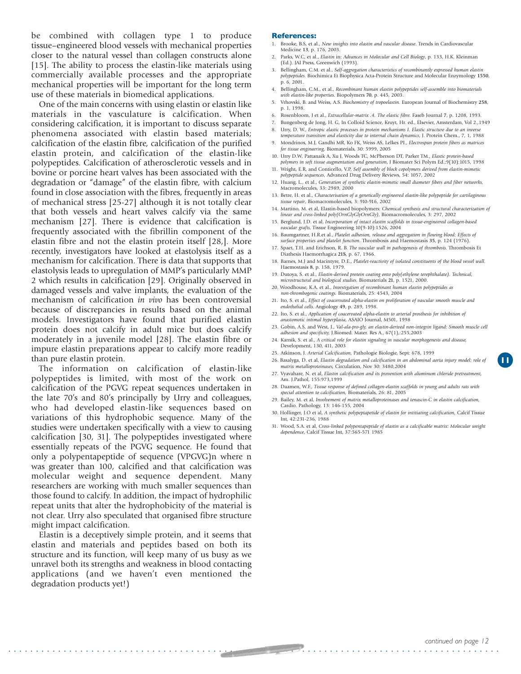be combined with collagen type 1 to produce tissue–engineered blood vessels with mechanical properties closer to the natural vessel than collagen constructs alone [15]. The ability to process the elastin-like materials using commercially available processes and the appropriate mechanical properties will be important for the long term use of these materials in biomedical applications.

One of the main concerns with using elastin or elastin like materials in the vasculature is calcification. When considering calcification, it is important to discuss separate phenomena associated with elastin based materials; calcification of the elastin fibre, calcification of the purified elastin protein, and calcification of the elastin-like polypeptides. Calcification of atherosclerotic vessels and in bovine or porcine heart valves has been associated with the degradation or "damage" of the elastin fibre, with calcium found in close association with the fibres, frequently in areas of mechanical stress [25-27] although it is not totally clear that both vessels and heart valves calcify via the same mechanism [27]. There is evidence that calcification is frequently associated with the fibrillin component of the elastin fibre and not the elastin protein itself [28,]. More recently, investigators have looked at elastolysis itself as a mechanism for calcification. There is data that supports that elastolysis leads to upregulation of MMP's particularly MMP 2 which results in calcification [29]. Originally observed in damaged vessels and valve implants, the evaluation of the mechanism of calcification *in vivo* has been controversial because of discrepancies in results based on the animal models. Investigators have found that purified elastin protein does not calcify in adult mice but does calcify moderately in a juvenile model [28]. The elastin fibre or impure elastin preparations appear to calcify more readily than pure elastin protein.

The information on calcification of elastin-like polypeptides is limited, with most of the work on calcification of the PGVG repeat sequences undertaken in the late 70's and 80's principally by Urry and colleagues, who had developed elastin-like sequences based on variations of this hydrophobic sequence. Many of the studies were undertaken specifically with a view to causing calcification [30, 31]. The polypeptides investigated where essentially repeats of the PGVG sequence. He found that only a polypentapeptide of sequence (VPGVG)n where n was greater than 100, calcified and that calcification was molecular weight and sequence dependent. Many researchers are working with much smaller sequences than those found to calcify. In addition, the impact of hydrophilic repeat units that alter the hydrophobicity of the material is not clear. Urry also speculated that organised fibre structure might impact calcification.

Elastin is a deceptively simple protein, and it seems that elastin and materials and peptides based on both its structure and its function, will keep many of us busy as we unravel both its strengths and weakness in blood contacting applications (and we haven't even mentioned the degradation products yet!)

. . . . . . . . . . . . . . . . . . . . . . . . . . . . . . . . . . . . . . . . . . . . . . . . . . . . . . . . . . . . . . . . . . . . . . . . . . . . . . . . . . . . . . . . .

#### **References:**

- 1. Brooke, B.S, et al., *New insights into elastin and vascular disease*. Trends in Cardiovascular Medicine **13**, p. 176, 2003.
- 2. Parks, W.C, et al., *Elastin* in: *Advances in Molecular and Cell Biology*, p. 133, H.K. Kleinman (Ed.). JAI Press, Greenwich (1993).
- 3. Bellingham, C.M. et al., *Self-aggregation characteristics of recombinantly expressed human elastin polypeptides.* Biochimica Et Biophysica Acta-Protein Structure and Molecular Enzymology **1550**, p. 6, 2001.
- 4. Bellingham, C.M., et al., *Recombinant human elastin polypeptides self-assemble into biomaterials with elastin-like properties.* Biopolymers **70**, p. 445, 2003.
- 5. Vrhovski, B. and Weiss, A.S. *Biochemistry of tropoelastin.* European Journal of Biochemistry **258**, p. 1, 1998.
- 6. Rosenbloom, J et al., *Extracellular-matrix .4. The elastic fibre.* Faseb Journal **7**, p. 1208, 1993.
- 7. Bungenberg de Jong, H. G, In Colloid Science, Kruyt, Hr. ed., Elsevier, Amsterdam, Vol 2.,1949
- 8. Urry, D. W., *Entropic elastic processes in protein mechanisms I. Elastic structure due to an inverse temperature transition and elasticity due to internal chain dynamics*, J. Protein Chem., 7, 1, 1988
- 9. Mondrinos, M.J, Gandhi MR, Ko FK, Weiss AS, Lelkes PI., *Electrospun protein fibers as matrices for tissue engineering,* Biomaterials, 30: 5999, 2005
- 10. Urry D.W, Pattanaik A, Xu J, Woods TC, McPherson DT, Parker TM., *Elastic protein-based polymers in soft tissue augmentation and generation*, J Biomater Sci Polym Ed.;9(10):1015, 1998
- 11. Wright, E.R, and Conticello, V.P, *Self assembly of block copolymers derived from elastin-mimetic polypeptide sequences*, Advanced Drug Delivery Reviews, 54: 1057, 2002
- 12. Huang, L., et al., *Generation of synthetic elastin-mimetic small diameter fibers and fiber networks,* Macromolecules, 33: 2989, 2000
- 13. Betre, H. et al., *Characterisation of a genetically engineered elastin-like polypeptide for cartilaginous tissue repair*, Biomacromolecules, 3: 910-916, 2002
- 14. Martino, M. et al, Elastin-based biopolymers: *Chemical synthesis and structural characterization of linear and cross-linked poly(OrnGlyGlyOrnGly),* Biomacromolecules, 3: 297, 2002
- 15. Berglund, J.D. et al, *Incorporation of intact elastin scaffolds in tissue-engineered collagen-based vascular grafts,* Tissue Engineering 10(9-10):1526, 2004
- 16. Baumgartner, H.R.et al., *Platelet adhesion, release and aggregation in flowing blood: Effects of surface properties and platelet function.* Thrombosis and Haemostasis **35**, p. 124 (1976).
- 17. Spaet, T.H. and Erichson, R. B. *The vascular wall in pathogenesis of thrombosis.* Thrombosis Et Diathesis Haemorrhagica **21S**, p. 67, 1966.
- 18. Barnes, M.J and Macintyre, D.E., *Platelet-reactivity of isolated constituents of the blood vessel wall.* Haemostasis **8**, p. 158, 1979.
- 19. Dutoya, S. et al., *Elastin-derived protein coating onto poly(ethylene terephthalate). Technical, microstructural and biological studies.* Biomaterials **21**, p. 1521, 2000.
- 20. Woodhouse, K.A. et al., *Investigation of recombinant human elastin polypeptides as non-thrombogenic coatings.* Biomaterials, 25: 4543, 2004
- 21. Ito, S. et al., *Effect of coacervated alpha-elastin on proliferation of vascular smooth muscle and endothelial cells.* Angiology **49**, p. 289, 1998.
- 22. Ito, S. et al., *Application of coacervated alpha-elastin to arterial prosthesis for inhibition of anastomotic intimal hyperplasia,* ASAIO Journal, M501, 1998
- 23. Gobin, A.S, and West, J., *Val-ala-pro-gly, an elastin-derived non-integrin ligand: Smooth muscle cell adhesion and specificity,* J.Biomed. Mater. Res A., 67(1),:255,2003
- 24. Karnik, S. et al., *A critical role for elastin signaling in vascular morphogenesis and disease,* Development, 130, 411, 2003
- 25. Atkinson, J. *Arterial Calcification,* Pathologie Biologie, Sept: 678, 1999
- 26. Basalyga, D. et al, *Elastin degradation and calcification in an abdominal aorta injury model: role of matrix metalloproteinases,* Circulation, Nov 30: 3480,2004
- 27. Vyavahare, N. et al, *Elastin calcification and its prevention with aluminum chloride pretreatment,* Am. J.Pathol, 155:973,1999
- 28. Daamen, W.F., *Tissue response of defined collagen-elastin scaffolds in young and adults rats with special attention to calcification,* Biomaterials, 26: 81, 2005
- 29. Bailey, M. et al, *Involvement of matrix metalloproteinases and tenascin-C in elastin calcification,* Cardio. Pathology, 13: 146-155, 2004
- 30. Hollinger, J.O et al, *A synthetic polypeptapetide of elastin for intitiating calcification,* Calcif Tissue Int, 42:231-236, 1988
- 31. Wood, S.A. et al, *Cross-linked polypentapeptide of elastin as a calcificable matrix: Molecular weight dependence*, Calcif Tissue Int, 37:565-571 1985

**11**